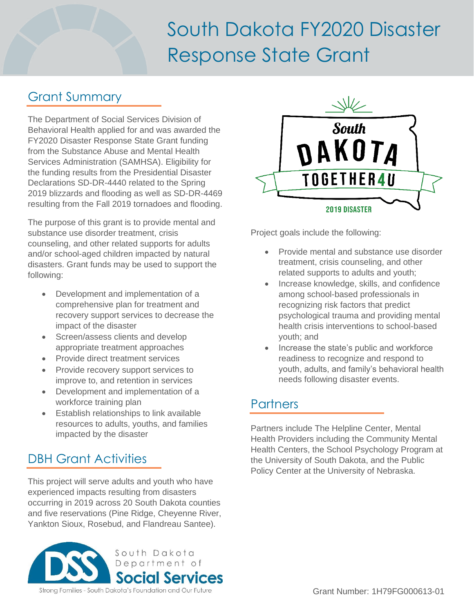# South Dakota FY2020 Disaster Response State Grant

#### Grant Summary

The Department of Social Services Division of Behavioral Health applied for and was awarded the FY2020 Disaster Response State Grant funding from the Substance Abuse and Mental Health Services Administration (SAMHSA). Eligibility for the funding results from the Presidential Disaster Declarations SD-DR-4440 related to the Spring 2019 blizzards and flooding as well as SD-DR-4469 resulting from the Fall 2019 tornadoes and flooding.

The purpose of this grant is to provide mental and substance use disorder treatment, crisis counseling, and other related supports for adults and/or school-aged children impacted by natural disasters. Grant funds may be used to support the following:

- Development and implementation of a comprehensive plan for treatment and recovery support services to decrease the impact of the disaster
- Screen/assess clients and develop appropriate treatment approaches
- Provide direct treatment services
- Provide recovery support services to improve to, and retention in services
- Development and implementation of a workforce training plan
- Establish relationships to link available resources to adults, youths, and families impacted by the disaster

## DBH Grant Activities

This project will serve adults and youth who have experienced impacts resulting from disasters occurring in 2019 across 20 South Dakota counties and five reservations (Pine Ridge, Cheyenne River, Yankton Sioux, Rosebud, and Flandreau Santee).





Project goals include the following:

- Provide mental and substance use disorder treatment, crisis counseling, and other related supports to adults and youth;
- Increase knowledge, skills, and confidence among school-based professionals in recognizing risk factors that predict psychological trauma and providing mental health crisis interventions to school-based youth; and
- Increase the state's public and workforce readiness to recognize and respond to youth, adults, and family's behavioral health needs following disaster events.

#### **Partners**

Partners include The Helpline Center, Mental Health Providers including the Community Mental Health Centers, the School Psychology Program at the University of South Dakota, and the Public Policy Center at the University of Nebraska.